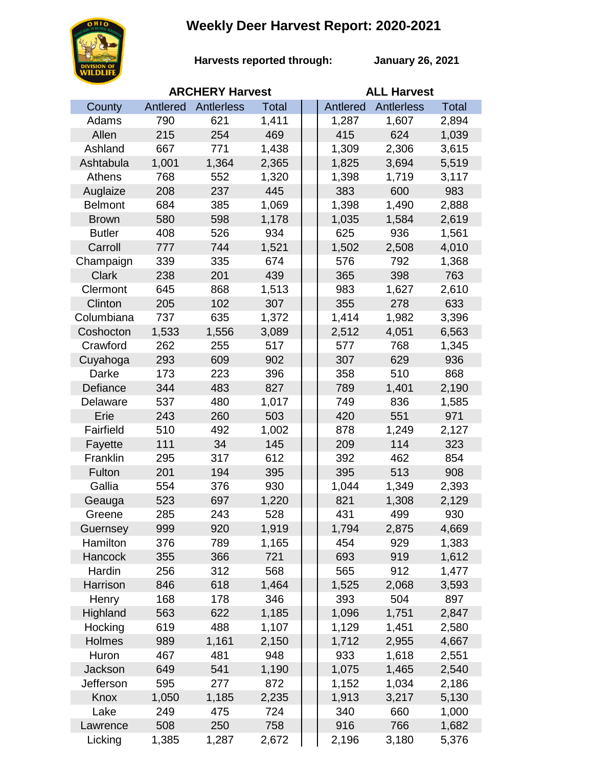## **Weekly Deer Harvest Report: 2020-2021**



**Harvests reported through:** 

**January 26, 2021**

|                |          | <b>ARCHERY Harvest</b> |              | <b>ALL Harvest</b> |                   |              |  |
|----------------|----------|------------------------|--------------|--------------------|-------------------|--------------|--|
| County         | Antlered | Antlerless             | <b>Total</b> | Antlered           | <b>Antlerless</b> | <b>Total</b> |  |
| Adams          | 790      | 621                    | 1,411        | 1,287              | 1,607             | 2,894        |  |
| Allen          | 215      | 254                    | 469          | 415                | 624               | 1,039        |  |
| Ashland        | 667      | 771                    | 1,438        | 1,309              | 2,306             | 3,615        |  |
| Ashtabula      | 1,001    | 1,364                  | 2,365        | 1,825              | 3,694             | 5,519        |  |
| Athens         | 768      | 552                    | 1,320        | 1,398              | 1,719             | 3,117        |  |
| Auglaize       | 208      | 237                    | 445          | 383                | 600               | 983          |  |
| <b>Belmont</b> | 684      | 385                    | 1,069        | 1,398              | 1,490             | 2,888        |  |
| <b>Brown</b>   | 580      | 598                    | 1,178        | 1,035              | 1,584             | 2,619        |  |
| <b>Butler</b>  | 408      | 526                    | 934          | 625                | 936               | 1,561        |  |
| Carroll        | 777      | 744                    | 1,521        | 1,502              | 2,508             | 4,010        |  |
| Champaign      | 339      | 335                    | 674          | 576                | 792               | 1,368        |  |
| <b>Clark</b>   | 238      | 201                    | 439          | 365                | 398               | 763          |  |
| Clermont       | 645      | 868                    | 1,513        | 983                | 1,627             | 2,610        |  |
| Clinton        | 205      | 102                    | 307          | 355                | 278               | 633          |  |
| Columbiana     | 737      | 635                    | 1,372        | 1,414              | 1,982             | 3,396        |  |
| Coshocton      | 1,533    | 1,556                  | 3,089        | 2,512              | 4,051             | 6,563        |  |
| Crawford       | 262      | 255                    | 517          | 577                | 768               | 1,345        |  |
| Cuyahoga       | 293      | 609                    | 902          | 307                | 629               | 936          |  |
| Darke          | 173      | 223                    | 396          | 358                | 510               | 868          |  |
| Defiance       | 344      | 483                    | 827          | 789                | 1,401             | 2,190        |  |
| Delaware       | 537      | 480                    | 1,017        | 749                | 836               | 1,585        |  |
| Erie           | 243      | 260                    | 503          | 420                | 551               | 971          |  |
| Fairfield      | 510      | 492                    | 1,002        | 878                | 1,249             | 2,127        |  |
| Fayette        | 111      | 34                     | 145          | 209                | 114               | 323          |  |
| Franklin       | 295      | 317                    | 612          | 392                | 462               | 854          |  |
| Fulton         | 201      | 194                    | 395          | 395                | 513               | 908          |  |
| Gallia         | 554      | 376                    | 930          | 1,044              | 1,349             | 2,393        |  |
| Geauga         | 523      | 697                    | 1,220        | 821                | 1,308             | 2,129        |  |
| Greene         | 285      | 243                    | 528          | 431                | 499               | 930          |  |
| Guernsey       | 999      | 920                    | 1,919        | 1,794              | 2,875             | 4,669        |  |
| Hamilton       | 376      | 789                    | 1,165        | 454                | 929               | 1,383        |  |
| Hancock        | 355      | 366                    | 721          | 693                | 919               | 1,612        |  |
| Hardin         | 256      | 312                    | 568          | 565                | 912               | 1,477        |  |
| Harrison       | 846      | 618                    | 1,464        | 1,525              | 2,068             | 3,593        |  |
| Henry          | 168      | 178                    | 346          | 393                | 504               | 897          |  |
| Highland       | 563      | 622                    | 1,185        | 1,096              | 1,751             | 2,847        |  |
| Hocking        | 619      | 488                    | 1,107        | 1,129              | 1,451             | 2,580        |  |
| Holmes         | 989      | 1,161                  | 2,150        | 1,712              | 2,955             | 4,667        |  |
| Huron          | 467      | 481                    | 948          | 933                | 1,618             | 2,551        |  |
| Jackson        | 649      | 541                    | 1,190        | 1,075              | 1,465             | 2,540        |  |
| Jefferson      | 595      | 277                    | 872          | 1,152              | 1,034             | 2,186        |  |
| Knox           | 1,050    | 1,185                  | 2,235        | 1,913              | 3,217             | 5,130        |  |
| Lake           | 249      | 475                    | 724          | 340                | 660               | 1,000        |  |
| Lawrence       | 508      | 250                    | 758          | 916                | 766               | 1,682        |  |
| Licking        | 1,385    | 1,287                  | 2,672        | 2,196              | 3,180             | 5,376        |  |